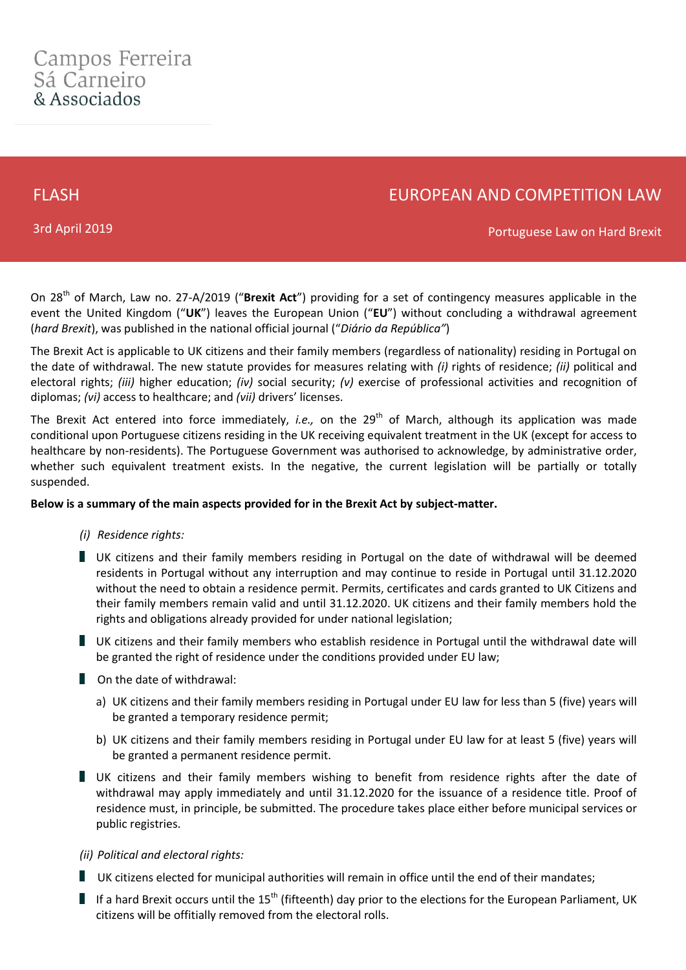FLASH

# EUROPEAN AND COMPETITION LAW

3rd April 2019

Portuguese Law on Hard Brexit

On 28th of March, Law no. 27-A/2019 ("**Brexit Act**") providing for a set of contingency measures applicable in the event the United Kingdom ("**UK**") leaves the European Union ("**EU**") without concluding a withdrawal agreement (*hard Brexit*), was published in the national official journal ("*Diário da República"*)

The Brexit Act is applicable to UK citizens and their family members (regardless of nationality) residing in Portugal on the date of withdrawal. The new statute provides for measures relating with *(i)* rights of residence; *(ii)* political and electoral rights; *(iii)* higher education; *(iv)* social security; *(v)* exercise of professional activities and recognition of diplomas; *(vi)* access to healthcare; and *(vii)* drivers' licenses.

The Brexit Act entered into force immediately, *i.e.*, on the 29<sup>th</sup> of March, although its application was made conditional upon Portuguese citizens residing in the UK receiving equivalent treatment in the UK (except for access to healthcare by non-residents). The Portuguese Government was authorised to acknowledge, by administrative order, whether such equivalent treatment exists. In the negative, the current legislation will be partially or totally suspended.

# **Below is a summary of the main aspects provided for in the Brexit Act by subject-matter.**

# *(i) Residence rights:*

- UK citizens and their family members residing in Portugal on the date of withdrawal will be deemed residents in Portugal without any interruption and may continue to reside in Portugal until 31.12.2020 without the need to obtain a residence permit. Permits, certificates and cards granted to UK Citizens and their family members remain valid and until 31.12.2020. UK citizens and their family members hold the rights and obligations already provided for under national legislation;
- UK citizens and their family members who establish residence in Portugal until the withdrawal date will be granted the right of residence under the conditions provided under EU law;
- On the date of withdrawal:
	- a) UK citizens and their family members residing in Portugal under EU law for less than 5 (five) years will be granted a temporary residence permit;
	- b) UK citizens and their family members residing in Portugal under EU law for at least 5 (five) years will be granted a permanent residence permit.
- UK citizens and their family members wishing to benefit from residence rights after the date of withdrawal may apply immediately and until 31.12.2020 for the issuance of a residence title. Proof of residence must, in principle, be submitted. The procedure takes place either before municipal services or public registries.

# *(ii) Political and electoral rights:*

- UK citizens elected for municipal authorities will remain in office until the end of their mandates;
- If a hard Brexit occurs until the  $15<sup>th</sup>$  (fifteenth) day prior to the elections for the European Parliament, UK citizens will be offitially removed from the electoral rolls.